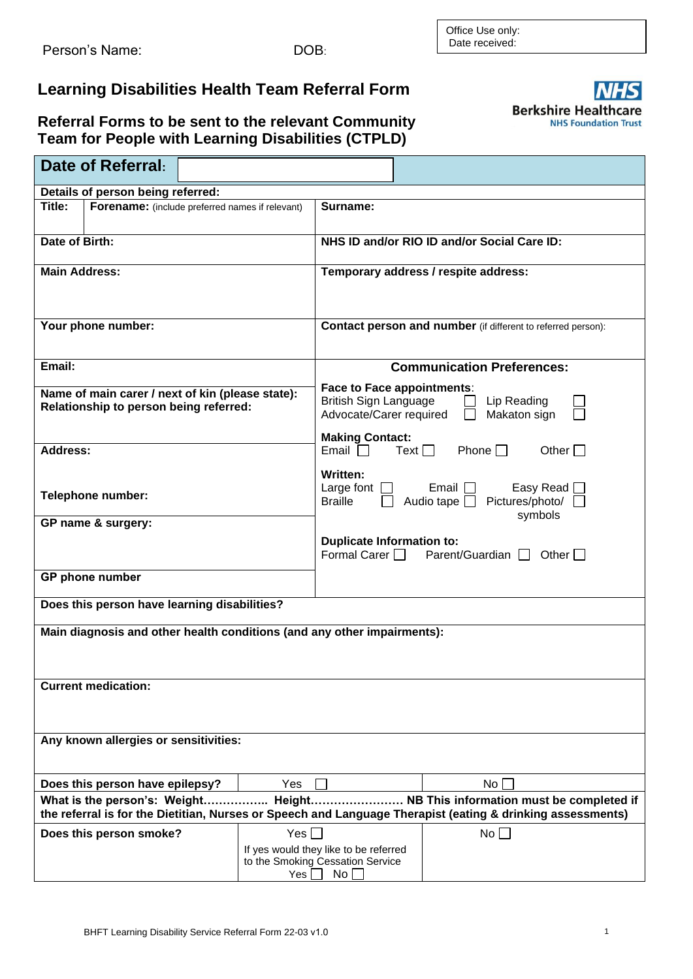## **Learning Disabilities Health Team Referral Form**

## **Referral Forms to be sent to the relevant Community Team for People with Learning Disabilities (CTPLD)**

| Date of Referral:                                                                                                                                                                               |                                                                                                                                  |  |  |  |
|-------------------------------------------------------------------------------------------------------------------------------------------------------------------------------------------------|----------------------------------------------------------------------------------------------------------------------------------|--|--|--|
| Details of person being referred:                                                                                                                                                               |                                                                                                                                  |  |  |  |
| Title:<br>Forename: (include preferred names if relevant)                                                                                                                                       | Surname:                                                                                                                         |  |  |  |
| Date of Birth:                                                                                                                                                                                  | NHS ID and/or RIO ID and/or Social Care ID:                                                                                      |  |  |  |
|                                                                                                                                                                                                 |                                                                                                                                  |  |  |  |
| <b>Main Address:</b>                                                                                                                                                                            | Temporary address / respite address:                                                                                             |  |  |  |
| Your phone number:                                                                                                                                                                              | <b>Contact person and number</b> (if different to referred person):                                                              |  |  |  |
| Email:                                                                                                                                                                                          | <b>Communication Preferences:</b>                                                                                                |  |  |  |
| Name of main carer / next of kin (please state):<br>Relationship to person being referred:                                                                                                      | Face to Face appointments:<br><b>British Sign Language</b><br>Lip Reading<br>Advocate/Carer required<br>Makaton sign             |  |  |  |
| <b>Address:</b>                                                                                                                                                                                 | <b>Making Contact:</b><br>Phone $\Box$<br>Email $\Box$<br>Text $\Box$<br>Other $\Box$                                            |  |  |  |
| Telephone number:<br>GP name & surgery:                                                                                                                                                         | Written:<br>Easy Read [<br>Large font $\Box$<br>Email $  \cdot  $<br>Audio tape □ Pictures/photo/ □<br><b>Braille</b><br>symbols |  |  |  |
|                                                                                                                                                                                                 | <b>Duplicate Information to:</b><br>Formal Carer $\Box$<br>Parent/Guardian $\Box$ Other $\Box$                                   |  |  |  |
| GP phone number                                                                                                                                                                                 |                                                                                                                                  |  |  |  |
| Does this person have learning disabilities?                                                                                                                                                    |                                                                                                                                  |  |  |  |
| Main diagnosis and other health conditions (and any other impairments):                                                                                                                         |                                                                                                                                  |  |  |  |
| <b>Current medication:</b>                                                                                                                                                                      |                                                                                                                                  |  |  |  |
| Any known allergies or sensitivities:                                                                                                                                                           |                                                                                                                                  |  |  |  |
| Does this person have epilepsy?                                                                                                                                                                 | Yes<br>No                                                                                                                        |  |  |  |
| . NB This information must be completed if<br>What is the person's: Weight Height<br>the referral is for the Dietitian, Nurses or Speech and Language Therapist (eating & drinking assessments) |                                                                                                                                  |  |  |  |
| Does this person smoke?                                                                                                                                                                         | Yes $\Box$<br>No                                                                                                                 |  |  |  |
|                                                                                                                                                                                                 | If yes would they like to be referred<br>to the Smoking Cessation Service<br>No<br>$Yes$ $\Box$                                  |  |  |  |

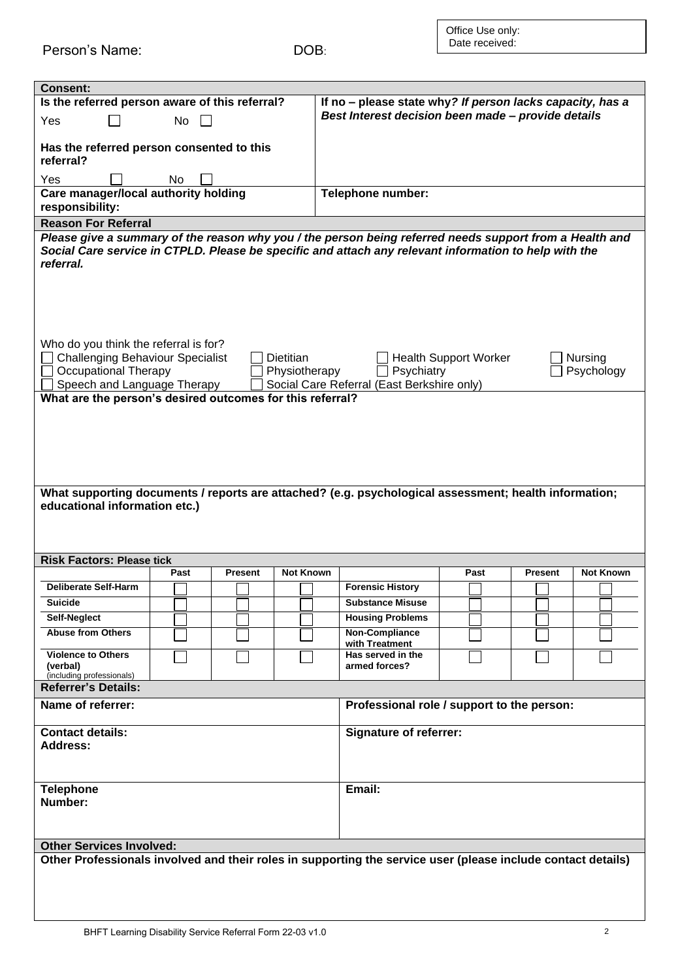Person's Name: DOB:

| <b>Consent:</b>                                                                                                                                 |      |                |                               |                                                           |                              |                |                  |
|-------------------------------------------------------------------------------------------------------------------------------------------------|------|----------------|-------------------------------|-----------------------------------------------------------|------------------------------|----------------|------------------|
| Is the referred person aware of this referral?                                                                                                  |      |                |                               | If no - please state why? If person lacks capacity, has a |                              |                |                  |
| Yes                                                                                                                                             | No   |                |                               | Best Interest decision been made - provide details        |                              |                |                  |
|                                                                                                                                                 |      |                |                               |                                                           |                              |                |                  |
| Has the referred person consented to this<br>referral?                                                                                          |      |                |                               |                                                           |                              |                |                  |
| Yes                                                                                                                                             | No   |                |                               |                                                           |                              |                |                  |
| Care manager/local authority holding                                                                                                            |      |                |                               | Telephone number:                                         |                              |                |                  |
| responsibility:                                                                                                                                 |      |                |                               |                                                           |                              |                |                  |
| <b>Reason For Referral</b>                                                                                                                      |      |                |                               |                                                           |                              |                |                  |
| Please give a summary of the reason why you / the person being referred needs support from a Health and                                         |      |                |                               |                                                           |                              |                |                  |
| Social Care service in CTPLD. Please be specific and attach any relevant information to help with the                                           |      |                |                               |                                                           |                              |                |                  |
| referral.                                                                                                                                       |      |                |                               |                                                           |                              |                |                  |
|                                                                                                                                                 |      |                |                               |                                                           |                              |                |                  |
|                                                                                                                                                 |      |                |                               |                                                           |                              |                |                  |
|                                                                                                                                                 |      |                |                               |                                                           |                              |                |                  |
|                                                                                                                                                 |      |                |                               |                                                           |                              |                |                  |
|                                                                                                                                                 |      |                |                               |                                                           |                              |                |                  |
| Who do you think the referral is for?                                                                                                           |      |                |                               |                                                           |                              |                |                  |
| <b>Challenging Behaviour Specialist</b>                                                                                                         |      |                | <b>Dietitian</b>              |                                                           | <b>Health Support Worker</b> |                | <b>Nursing</b>   |
| <b>Occupational Therapy</b>                                                                                                                     |      |                | Physiotherapy                 | Psychiatry                                                |                              |                | Psychology       |
| Speech and Language Therapy                                                                                                                     |      |                |                               | Social Care Referral (East Berkshire only)                |                              |                |                  |
| What are the person's desired outcomes for this referral?                                                                                       |      |                |                               |                                                           |                              |                |                  |
|                                                                                                                                                 |      |                |                               |                                                           |                              |                |                  |
|                                                                                                                                                 |      |                |                               |                                                           |                              |                |                  |
|                                                                                                                                                 |      |                |                               |                                                           |                              |                |                  |
|                                                                                                                                                 |      |                |                               |                                                           |                              |                |                  |
|                                                                                                                                                 |      |                |                               |                                                           |                              |                |                  |
| What supporting documents / reports are attached? (e.g. psychological assessment; health information;                                           |      |                |                               |                                                           |                              |                |                  |
| educational information etc.)                                                                                                                   |      |                |                               |                                                           |                              |                |                  |
|                                                                                                                                                 |      |                |                               |                                                           |                              |                |                  |
|                                                                                                                                                 |      |                |                               |                                                           |                              |                |                  |
|                                                                                                                                                 |      |                |                               |                                                           |                              |                |                  |
| <b>Risk Factors: Please tick</b>                                                                                                                |      |                |                               |                                                           |                              |                |                  |
|                                                                                                                                                 | Past | <b>Present</b> | <b>Not Known</b>              |                                                           | Past                         | <b>Present</b> | <b>Not Known</b> |
| <b>Deliberate Self-Harm</b>                                                                                                                     |      |                |                               | <b>Forensic History</b>                                   |                              |                |                  |
| <b>Suicide</b>                                                                                                                                  |      |                |                               | <b>Substance Misuse</b>                                   |                              |                |                  |
| Self-Neglect                                                                                                                                    |      |                |                               | <b>Housing Problems</b>                                   |                              |                |                  |
| <b>Abuse from Others</b>                                                                                                                        |      |                |                               | Non-Compliance<br>with Treatment                          |                              |                |                  |
| <b>Violence to Others</b>                                                                                                                       |      |                |                               | Has served in the                                         |                              |                |                  |
| (verbal)                                                                                                                                        |      |                |                               | armed forces?                                             |                              |                |                  |
| (including professionals)<br><b>Referrer's Details:</b>                                                                                         |      |                |                               |                                                           |                              |                |                  |
|                                                                                                                                                 |      |                |                               |                                                           |                              |                |                  |
| Name of referrer:                                                                                                                               |      |                |                               | Professional role / support to the person:                |                              |                |                  |
|                                                                                                                                                 |      |                |                               |                                                           |                              |                |                  |
| <b>Contact details:</b>                                                                                                                         |      |                | <b>Signature of referrer:</b> |                                                           |                              |                |                  |
| Address:                                                                                                                                        |      |                |                               |                                                           |                              |                |                  |
|                                                                                                                                                 |      |                |                               |                                                           |                              |                |                  |
|                                                                                                                                                 |      |                |                               |                                                           |                              |                |                  |
| <b>Telephone</b>                                                                                                                                |      |                |                               | Email:                                                    |                              |                |                  |
| Number:                                                                                                                                         |      |                |                               |                                                           |                              |                |                  |
|                                                                                                                                                 |      |                |                               |                                                           |                              |                |                  |
|                                                                                                                                                 |      |                |                               |                                                           |                              |                |                  |
| <b>Other Services Involved:</b><br>Other Professionals involved and their roles in supporting the service user (please include contact details) |      |                |                               |                                                           |                              |                |                  |
|                                                                                                                                                 |      |                |                               |                                                           |                              |                |                  |
|                                                                                                                                                 |      |                |                               |                                                           |                              |                |                  |
|                                                                                                                                                 |      |                |                               |                                                           |                              |                |                  |
|                                                                                                                                                 |      |                |                               |                                                           |                              |                |                  |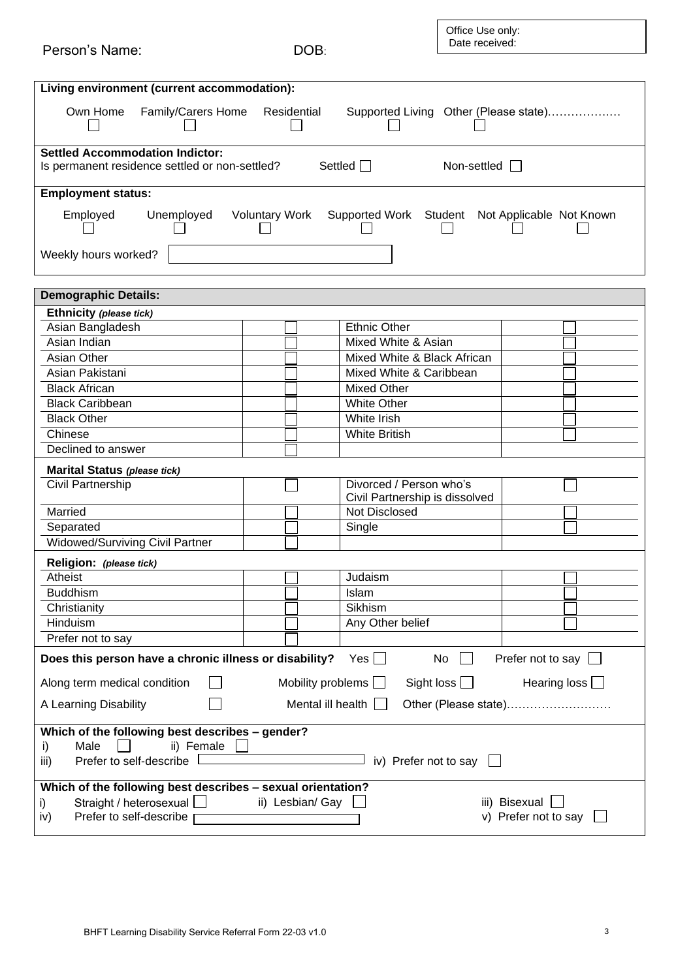| Person's Name:                                                                                       | DOB:                  | Office Use only:<br>Date received:                        |  |  |  |
|------------------------------------------------------------------------------------------------------|-----------------------|-----------------------------------------------------------|--|--|--|
|                                                                                                      |                       |                                                           |  |  |  |
| Living environment (current accommodation):                                                          |                       |                                                           |  |  |  |
|                                                                                                      |                       |                                                           |  |  |  |
| Own Home<br>Family/Carers Home                                                                       | Residential           | Supported Living Other (Please state)                     |  |  |  |
| <b>Settled Accommodation Indictor:</b>                                                               |                       |                                                           |  |  |  |
| Is permanent residence settled or non-settled?                                                       |                       | Settled $\Box$<br>Non-settled $\Box$                      |  |  |  |
| <b>Employment status:</b>                                                                            |                       |                                                           |  |  |  |
| Employed<br>Unemployed                                                                               | <b>Voluntary Work</b> | Supported Work Student Not Applicable Not Known           |  |  |  |
| Weekly hours worked?                                                                                 |                       |                                                           |  |  |  |
|                                                                                                      |                       |                                                           |  |  |  |
| <b>Demographic Details:</b>                                                                          |                       |                                                           |  |  |  |
| Ethnicity (please tick)<br>Asian Bangladesh                                                          |                       | <b>Ethnic Other</b>                                       |  |  |  |
| Asian Indian                                                                                         |                       | Mixed White & Asian                                       |  |  |  |
| Asian Other                                                                                          |                       | Mixed White & Black African                               |  |  |  |
| Asian Pakistani                                                                                      |                       | Mixed White & Caribbean                                   |  |  |  |
| <b>Black African</b>                                                                                 |                       | <b>Mixed Other</b>                                        |  |  |  |
| <b>Black Caribbean</b>                                                                               |                       | <b>White Other</b>                                        |  |  |  |
| <b>Black Other</b>                                                                                   |                       | White Irish                                               |  |  |  |
| Chinese                                                                                              |                       | <b>White British</b>                                      |  |  |  |
| Declined to answer                                                                                   |                       |                                                           |  |  |  |
| Marital Status (please tick)                                                                         |                       |                                                           |  |  |  |
| <b>Civil Partnership</b>                                                                             |                       | Divorced / Person who's<br>Civil Partnership is dissolved |  |  |  |
| Married                                                                                              |                       | <b>Not Disclosed</b>                                      |  |  |  |
| Separated                                                                                            |                       | Single                                                    |  |  |  |
| <b>Widowed/Surviving Civil Partner</b>                                                               |                       |                                                           |  |  |  |
| Religion: (please tick)                                                                              |                       |                                                           |  |  |  |
| Atheist                                                                                              |                       | Judaism                                                   |  |  |  |
| <b>Buddhism</b>                                                                                      |                       | Islam                                                     |  |  |  |
| Christianity                                                                                         |                       | Sikhism                                                   |  |  |  |
| Hinduism                                                                                             |                       | Any Other belief                                          |  |  |  |
| Prefer not to say                                                                                    |                       |                                                           |  |  |  |
| Does this person have a chronic illness or disability?<br>Yes  <br>No<br>Prefer not to say           |                       |                                                           |  |  |  |
| Mobility problems $\Box$<br>Sight loss $\Box$<br>Hearing loss $\Box$<br>Along term medical condition |                       |                                                           |  |  |  |
| Mental ill health<br>A Learning Disability<br>Other (Please state)                                   |                       |                                                           |  |  |  |
| Which of the following best describes - gender?                                                      |                       |                                                           |  |  |  |
| Male<br>ii) Female<br>i)                                                                             |                       |                                                           |  |  |  |
| Prefer to self-describe<br>iv) Prefer not to say<br>iii)                                             |                       |                                                           |  |  |  |
| Which of the following best describes - sexual orientation?                                          |                       |                                                           |  |  |  |
| ii) Lesbian/ Gay<br>iii) Bisexual<br>Straight / heterosexual<br>i)                                   |                       |                                                           |  |  |  |
| v) Prefer not to say<br>Prefer to self-describe<br>iv)                                               |                       |                                                           |  |  |  |